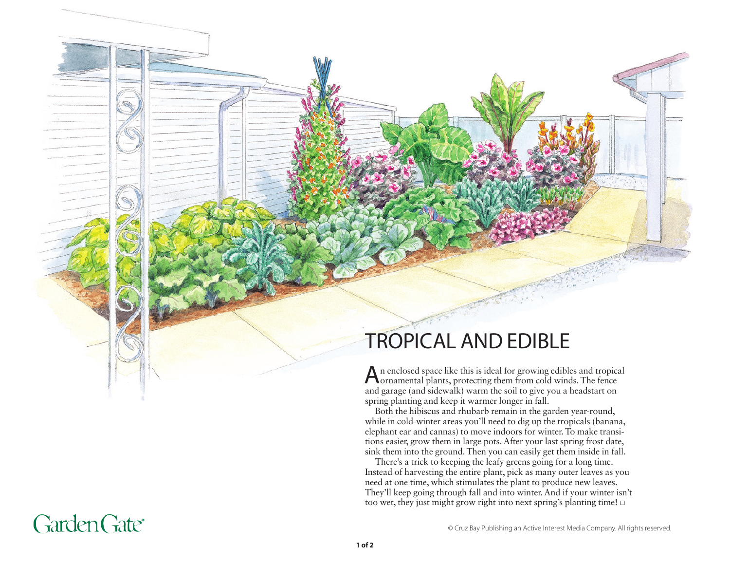## TROPICAL AND EDIBLE

An enclosed space like this is ideal for growing edibles and tropical ornamental plants, protecting them from cold winds. The fence and garage (and sidewalk) warm the soil to give you a headstart on spring planting and keep it warmer longer in fall.

Both the hibiscus and rhubarb remain in the garden year-round, while in cold-winter areas you'll need to dig up the tropicals (banana, elephant ear and cannas) to move indoors for winter. To make transitions easier, grow them in large pots. After your last spring frost date, sink them into the ground. Then you can easily get them inside in fall.

There's a trick to keeping the leafy greens going for a long time. Instead of harvesting the entire plant, pick as many outer leaves as you need at one time, which stimulates the plant to produce new leaves. They'll keep going through fall and into winter. And if your winter isn't too wet, they just might grow right into next spring's planting time!  $\square$ 

© Cruz Bay Publishing an Active Interest Media Company. All rights reserved.